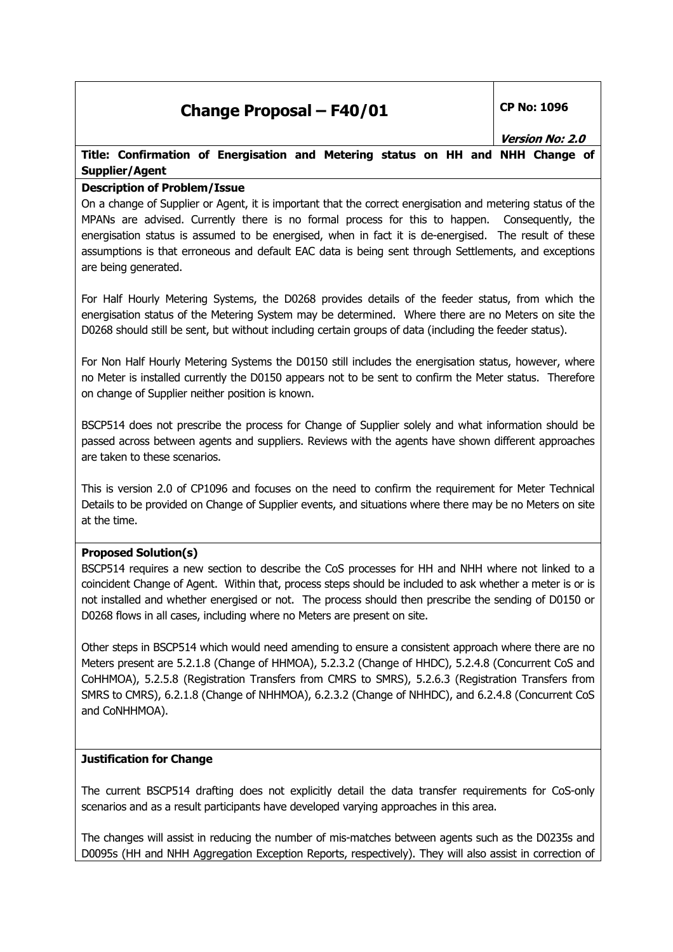## **Change Proposal – F40/01 CP No: 1096**

**Version No: 2.0** 

### **Title: Confirmation of Energisation and Metering status on HH and NHH Change of Supplier/Agent**

#### **Description of Problem/Issue**

On a change of Supplier or Agent, it is important that the correct energisation and metering status of the MPANs are advised. Currently there is no formal process for this to happen. Consequently, the energisation status is assumed to be energised, when in fact it is de-energised. The result of these assumptions is that erroneous and default EAC data is being sent through Settlements, and exceptions are being generated.

For Half Hourly Metering Systems, the D0268 provides details of the feeder status, from which the energisation status of the Metering System may be determined. Where there are no Meters on site the D0268 should still be sent, but without including certain groups of data (including the feeder status).

For Non Half Hourly Metering Systems the D0150 still includes the energisation status, however, where no Meter is installed currently the D0150 appears not to be sent to confirm the Meter status. Therefore on change of Supplier neither position is known.

BSCP514 does not prescribe the process for Change of Supplier solely and what information should be passed across between agents and suppliers. Reviews with the agents have shown different approaches are taken to these scenarios.

This is version 2.0 of CP1096 and focuses on the need to confirm the requirement for Meter Technical Details to be provided on Change of Supplier events, and situations where there may be no Meters on site at the time.

#### **Proposed Solution(s)**

BSCP514 requires a new section to describe the CoS processes for HH and NHH where not linked to a coincident Change of Agent. Within that, process steps should be included to ask whether a meter is or is not installed and whether energised or not. The process should then prescribe the sending of D0150 or D0268 flows in all cases, including where no Meters are present on site.

Other steps in BSCP514 which would need amending to ensure a consistent approach where there are no Meters present are 5.2.1.8 (Change of HHMOA), 5.2.3.2 (Change of HHDC), 5.2.4.8 (Concurrent CoS and CoHHMOA), 5.2.5.8 (Registration Transfers from CMRS to SMRS), 5.2.6.3 (Registration Transfers from SMRS to CMRS), 6.2.1.8 (Change of NHHMOA), 6.2.3.2 (Change of NHHDC), and 6.2.4.8 (Concurrent CoS and CoNHHMOA).

#### **Justification for Change**

The current BSCP514 drafting does not explicitly detail the data transfer requirements for CoS-only scenarios and as a result participants have developed varying approaches in this area.

The changes will assist in reducing the number of mis-matches between agents such as the D0235s and D0095s (HH and NHH Aggregation Exception Reports, respectively). They will also assist in correction of